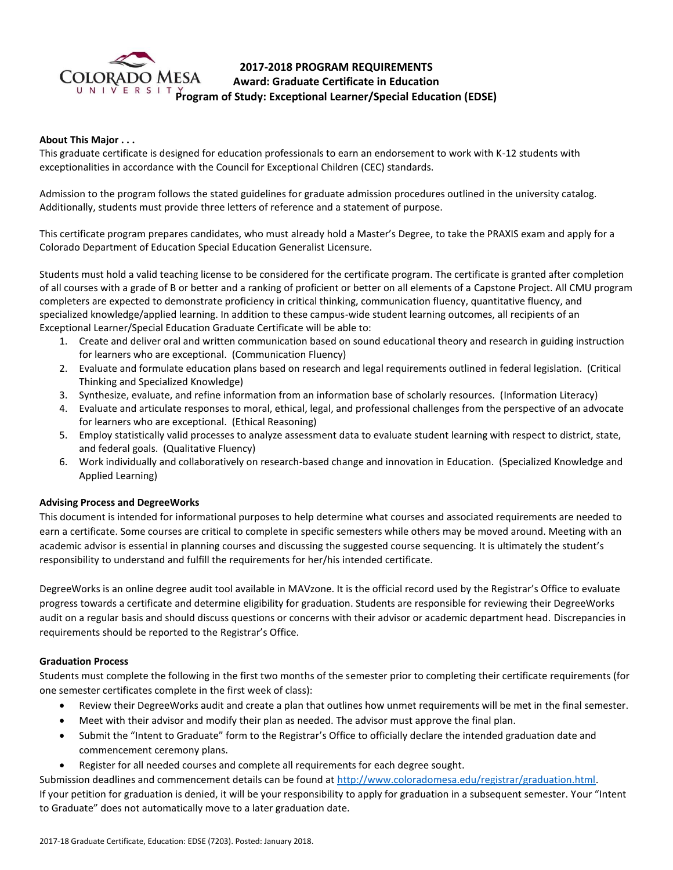

# **2017-2018 PROGRAM REQUIREMENTS Award: Graduate Certificate in Education Program of Study: Exceptional Learner/Special Education (EDSE)**

### **About This Major . . .**

This graduate certificate is designed for education professionals to earn an endorsement to work with K-12 students with exceptionalities in accordance with the Council for Exceptional Children (CEC) standards.

Admission to the program follows the stated guidelines for graduate admission procedures outlined in the university catalog. Additionally, students must provide three letters of reference and a statement of purpose.

This certificate program prepares candidates, who must already hold a Master's Degree, to take the PRAXIS exam and apply for a Colorado Department of Education Special Education Generalist Licensure.

Students must hold a valid teaching license to be considered for the certificate program. The certificate is granted after completion of all courses with a grade of B or better and a ranking of proficient or better on all elements of a Capstone Project. All CMU program completers are expected to demonstrate proficiency in critical thinking, communication fluency, quantitative fluency, and specialized knowledge/applied learning. In addition to these campus-wide student learning outcomes, all recipients of an Exceptional Learner/Special Education Graduate Certificate will be able to:

- 1. Create and deliver oral and written communication based on sound educational theory and research in guiding instruction for learners who are exceptional. (Communication Fluency)
- 2. Evaluate and formulate education plans based on research and legal requirements outlined in federal legislation. (Critical Thinking and Specialized Knowledge)
- 3. Synthesize, evaluate, and refine information from an information base of scholarly resources. (Information Literacy)
- 4. Evaluate and articulate responses to moral, ethical, legal, and professional challenges from the perspective of an advocate for learners who are exceptional. (Ethical Reasoning)
- 5. Employ statistically valid processes to analyze assessment data to evaluate student learning with respect to district, state, and federal goals. (Qualitative Fluency)
- 6. Work individually and collaboratively on research-based change and innovation in Education. (Specialized Knowledge and Applied Learning)

## **Advising Process and DegreeWorks**

This document is intended for informational purposes to help determine what courses and associated requirements are needed to earn a certificate. Some courses are critical to complete in specific semesters while others may be moved around. Meeting with an academic advisor is essential in planning courses and discussing the suggested course sequencing. It is ultimately the student's responsibility to understand and fulfill the requirements for her/his intended certificate.

DegreeWorks is an online degree audit tool available in MAVzone. It is the official record used by the Registrar's Office to evaluate progress towards a certificate and determine eligibility for graduation. Students are responsible for reviewing their DegreeWorks audit on a regular basis and should discuss questions or concerns with their advisor or academic department head. Discrepancies in requirements should be reported to the Registrar's Office.

#### **Graduation Process**

Students must complete the following in the first two months of the semester prior to completing their certificate requirements (for one semester certificates complete in the first week of class):

- Review their DegreeWorks audit and create a plan that outlines how unmet requirements will be met in the final semester.
- Meet with their advisor and modify their plan as needed. The advisor must approve the final plan.
- Submit the "Intent to Graduate" form to the Registrar's Office to officially declare the intended graduation date and commencement ceremony plans.
- Register for all needed courses and complete all requirements for each degree sought.

Submission deadlines and commencement details can be found at [http://www.coloradomesa.edu/registrar/graduation.html.](http://www.coloradomesa.edu/registrar/graduation.html) If your petition for graduation is denied, it will be your responsibility to apply for graduation in a subsequent semester. Your "Intent to Graduate" does not automatically move to a later graduation date.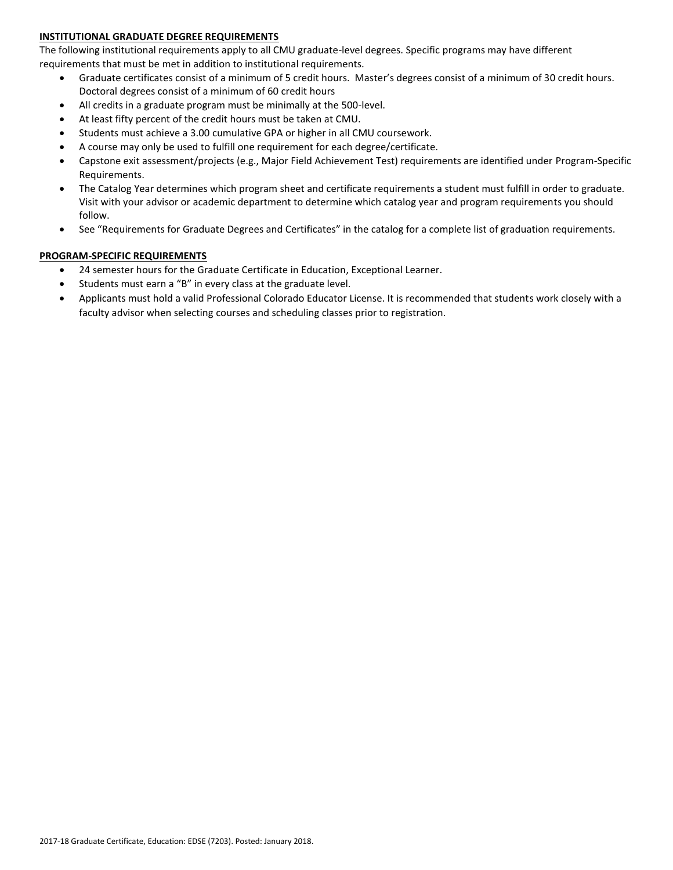## **INSTITUTIONAL GRADUATE DEGREE REQUIREMENTS**

The following institutional requirements apply to all CMU graduate-level degrees. Specific programs may have different requirements that must be met in addition to institutional requirements.

- Graduate certificates consist of a minimum of 5 credit hours. Master's degrees consist of a minimum of 30 credit hours. Doctoral degrees consist of a minimum of 60 credit hours
- All credits in a graduate program must be minimally at the 500-level.
- At least fifty percent of the credit hours must be taken at CMU.
- Students must achieve a 3.00 cumulative GPA or higher in all CMU coursework.
- A course may only be used to fulfill one requirement for each degree/certificate.
- Capstone exit assessment/projects (e.g., Major Field Achievement Test) requirements are identified under Program-Specific Requirements.
- The Catalog Year determines which program sheet and certificate requirements a student must fulfill in order to graduate. Visit with your advisor or academic department to determine which catalog year and program requirements you should follow.
- See "Requirements for Graduate Degrees and Certificates" in the catalog for a complete list of graduation requirements.

## **PROGRAM-SPECIFIC REQUIREMENTS**

- 24 semester hours for the Graduate Certificate in Education, Exceptional Learner.
- Students must earn a "B" in every class at the graduate level.
- Applicants must hold a valid Professional Colorado Educator License. It is recommended that students work closely with a faculty advisor when selecting courses and scheduling classes prior to registration.